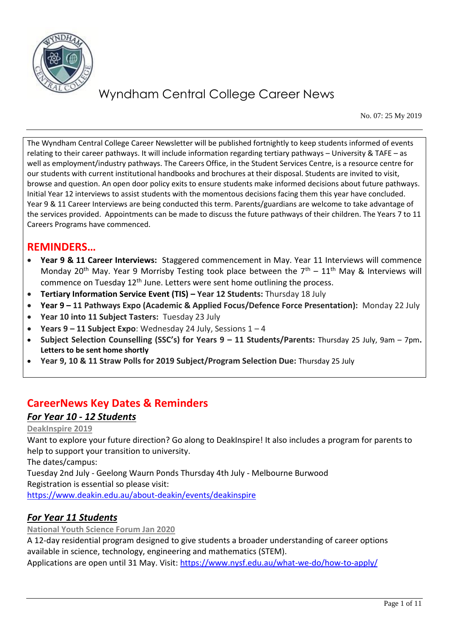

No. 07: 25 My 2019

The Wyndham Central College Career Newsletter will be published fortnightly to keep students informed of events relating to their career pathways. It will include information regarding tertiary pathways – University & TAFE – as well as employment/industry pathways. The Careers Office, in the Student Services Centre, is a resource centre for our students with current institutional handbooks and brochures at their disposal. Students are invited to visit, browse and question. An open door policy exits to ensure students make informed decisions about future pathways. Initial Year 12 interviews to assist students with the momentous decisions facing them this year have concluded. Year 9 & 11 Career Interviews are being conducted this term. Parents/guardians are welcome to take advantage of the services provided. Appointments can be made to discuss the future pathways of their children. The Years 7 to 11 Careers Programs have commenced.

## **REMINDERS…**

- **Year 9 & 11 Career Interviews:** Staggered commencement in May. Year 11 Interviews will commence Monday 20<sup>th</sup> May. Year 9 Morrisby Testing took place between the  $7<sup>th</sup> - 11<sup>th</sup>$  May & Interviews will commence on Tuesday 12<sup>th</sup> June. Letters were sent home outlining the process.
- **Tertiary Information Service Event (TIS) – Year 12 Students:** Thursday 18 July
- **Year 9 – 11 Pathways Expo (Academic & Applied Focus/Defence Force Presentation):** Monday 22 July
- **Year 10 into 11 Subject Tasters:** Tuesday 23 July
- **Years 9 – 11 Subject Expo**: Wednesday 24 July, Sessions 1 4
- **Subject Selection Counselling (SSC's) for Years 9 – 11 Students/Parents:** Thursday 25 July, 9am 7pm**. Letters to be sent home shortly**
- **Year 9, 10 & 11 Straw Polls for 2019 Subject/Program Selection Due:** Thursday 25 July

## **CareerNews Key Dates & Reminders**

### *For Year 10 - 12 Students*

#### **DeakInspire 2019**

Want to explore your future direction? Go along to DeakInspire! It also includes a program for parents to help to support your transition to university.

The dates/campus:

Tuesday 2nd July - Geelong Waurn Ponds Thursday 4th July - Melbourne Burwood Registration is essential so please visit:

<https://www.deakin.edu.au/about-deakin/events/deakinspire>

## *For Year 11 Students*

**National Youth Science Forum Jan 2020**

A 12-day residential program designed to give students a broader understanding of career options available in science, technology, engineering and mathematics (STEM). Applications are open until 31 May. Visit:<https://www.nysf.edu.au/what-we-do/how-to-apply/>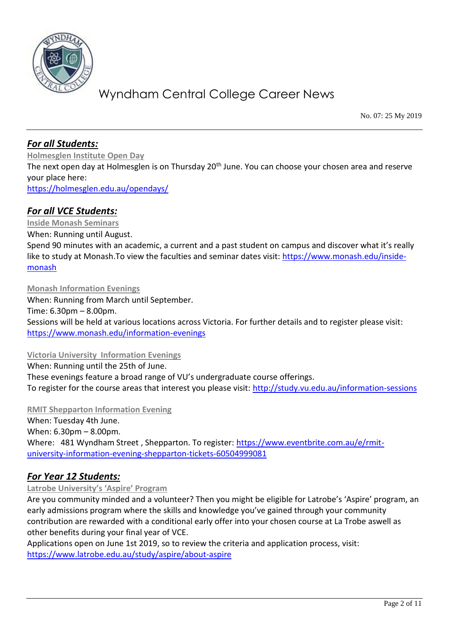

No. 07: 25 My 2019

### *For all Students:*

**Holmesglen Institute Open Day** The next open day at Holmesglen is on Thursday 20<sup>th</sup> June. You can choose your chosen area and reserve your place here: <https://holmesglen.edu.au/opendays/>

### *For all VCE Students:*

**Inside Monash Seminars** When: Running until August. Spend 90 minutes with an academic, a current and a past student on campus and discover what it's really like to study at Monash.To view the faculties and seminar dates visit: [https://www.monash.edu/inside](https://www.monash.edu/inside-monash)[monash](https://www.monash.edu/inside-monash)

**Monash Information Evenings** When: Running from March until September. Time: 6.30pm – 8.00pm. Sessions will be held at various locations across Victoria. For further details and to register please visit: <https://www.monash.edu/information-evenings>

#### **Victoria University Information Evenings**

When: Running until the 25th of June. These evenings feature a broad range of VU's undergraduate course offerings. To register for the course areas that interest you please visit:<http://study.vu.edu.au/information-sessions>

**RMIT Shepparton Information Evening** 

When: Tuesday 4th June. When: 6.30pm – 8.00pm. Where: 481 Wyndham Street , Shepparton. To register: [https://www.eventbrite.com.au/e/rmit](https://www.eventbrite.com.au/e/rmit-university-information-evening-shepparton-tickets-60504999081)[university-information-evening-shepparton-tickets-60504999081](https://www.eventbrite.com.au/e/rmit-university-information-evening-shepparton-tickets-60504999081)

### *For Year 12 Students:*

#### **Latrobe University's 'Aspire' Program**

Are you community minded and a volunteer? Then you might be eligible for Latrobe's 'Aspire' program, an early admissions program where the skills and knowledge you've gained through your community contribution are rewarded with a conditional early offer into your chosen course at La Trobe aswell as other benefits during your final year of VCE.

Applications open on June 1st 2019, so to review the criteria and application process, visit: <https://www.latrobe.edu.au/study/aspire/about-aspire>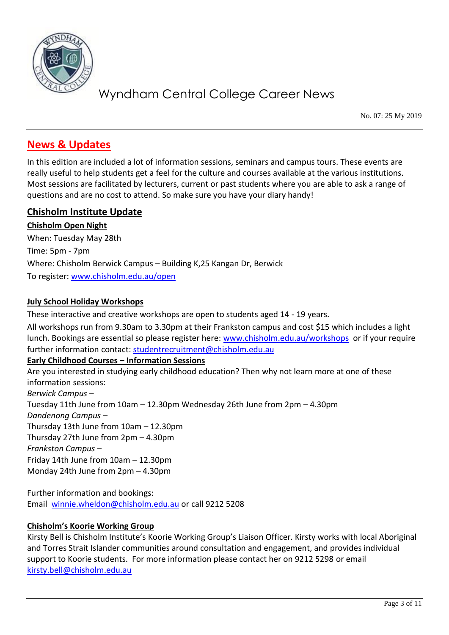

No. 07: 25 My 2019

## **News & Updates**

In this edition are included a lot of information sessions, seminars and campus tours. These events are really useful to help students get a feel for the culture and courses available at the various institutions. Most sessions are facilitated by lecturers, current or past students where you are able to ask a range of questions and are no cost to attend. So make sure you have your diary handy!

### **Chisholm Institute Update**

**Chisholm Open Night** When: Tuesday May 28th Time: 5pm - 7pm Where: Chisholm Berwick Campus – Building K,25 Kangan Dr, Berwick To register: [www.chisholm.edu.au/open](http://www.chisholm.edu.au/open)

#### **July School Holiday Workshops**

These interactive and creative workshops are open to students aged 14 - 19 years.

All workshops run from 9.30am to 3.30pm at their Frankston campus and cost \$15 which includes a light lunch. Bookings are essential so please register here: [www.chisholm.edu.au/workshops](http://www.chisholm.edu.au/workshops) or if your require further information contact: [studentrecruitment@chisholm.edu.au](mailto:studentrecruitment@chisholm.edu.au)

#### **Early Childhood Courses – Information Sessions**

Are you interested in studying early childhood education? Then why not learn more at one of these information sessions: *Berwick Campus* – Tuesday 11th June from 10am – 12.30pm Wednesday 26th June from 2pm – 4.30pm *Dandenong Campus –* Thursday 13th June from 10am – 12.30pm Thursday 27th June from 2pm – 4.30pm *Frankston Campus –* Friday 14th June from 10am – 12.30pm Monday 24th June from 2pm – 4.30pm

Further information and bookings: Email [winnie.wheldon@chisholm.edu.au](mailto:winnie.wheldon@chisholm.edu.au) or call 9212 5208

#### **Chisholm's Koorie Working Group**

Kirsty Bell is Chisholm Institute's Koorie Working Group's Liaison Officer. Kirsty works with local Aboriginal and Torres Strait Islander communities around consultation and engagement, and provides individual support to Koorie students. For more information please contact her on 9212 5298 or email [kirsty.bell@chisholm.edu.au](mailto:kirsty.bell@chisholm.edu.au)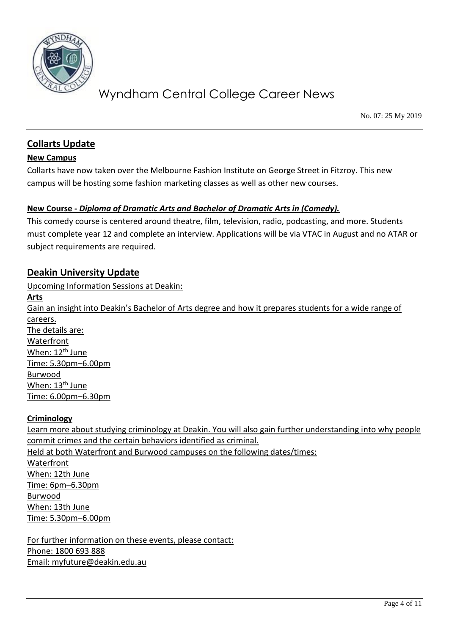

No. 07: 25 My 2019

### **Collarts Update**

#### **New Campus**

Collarts have now taken over the Melbourne Fashion Institute on George Street in Fitzroy. This new campus will be hosting some fashion marketing classes as well as other new courses.

### **New Course -** *Diploma of Dramatic Arts and Bachelor of Dramatic Arts in (Comedy).*

This comedy course is centered around theatre, film, television, radio, podcasting, and more. Students must complete year 12 and complete an interview. Applications will be via VTAC in August and no ATAR or subject requirements are required.

### **Deakin University Update**

Upcoming Information Sessions at Deakin:

**Arts** Gain an insight into Deakin's Bachelor of Arts degree and how it prepares students for a wide range of careers. The details are: Waterfront When: 12<sup>th</sup> June Time: 5.30pm–6.00pm Burwood When: 13<sup>th</sup> June Time: 6.00pm–6.30pm

#### **Criminology**

Learn more about studying criminology at Deakin. You will also gain further understanding into why people commit crimes and the certain behaviors identified as criminal. Held at both Waterfront and Burwood campuses on the following dates/times: Waterfront When: 12th June Time: 6pm–6.30pm Burwood When: 13th June Time: 5.30pm–6.00pm

For further information on these events, please contact: Phone: 1800 693 888 Email: [myfuture@deakin.edu.au](mailto:myfuture@deakin.edu.au)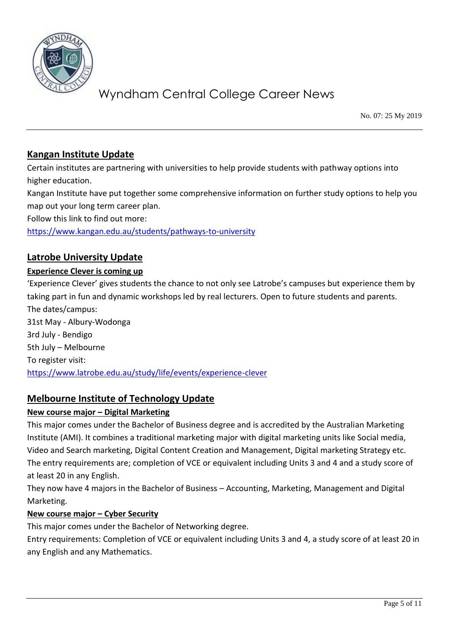

No. 07: 25 My 2019

### **Kangan Institute Update**

Certain institutes are partnering with universities to help provide students with pathway options into higher education.

Kangan Institute have put together some comprehensive information on further study options to help you map out your long term career plan.

Follow this link to find out more:

<https://www.kangan.edu.au/students/pathways-to-university>

### **Latrobe University Update**

#### **Experience Clever is coming up**

'Experience Clever' gives students the chance to not only see Latrobe's campuses but experience them by taking part in fun and dynamic workshops led by real lecturers. Open to future students and parents. The dates/campus: 31st May - Albury-Wodonga 3rd July - Bendigo 5th July – Melbourne To register visit: <https://www.latrobe.edu.au/study/life/events/experience-clever>

### **Melbourne Institute of Technology Update**

### **New course major – Digital Marketing**

This major comes under the Bachelor of Business degree and is accredited by the Australian Marketing Institute (AMI). It combines a traditional marketing major with digital marketing units like Social media, Video and Search marketing, Digital Content Creation and Management, Digital marketing Strategy etc. The entry requirements are; completion of VCE or equivalent including Units 3 and 4 and a study score of at least 20 in any English.

They now have 4 majors in the Bachelor of Business – Accounting, Marketing, Management and Digital Marketing.

### **New course major – Cyber Security**

This major comes under the Bachelor of Networking degree.

Entry requirements: Completion of VCE or equivalent including Units 3 and 4, a study score of at least 20 in any English and any Mathematics.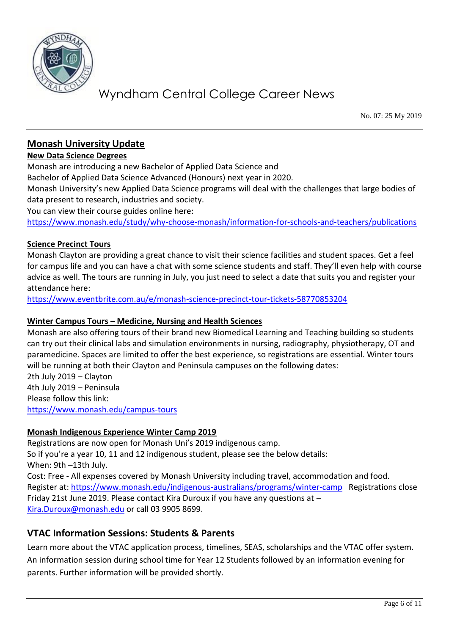

No. 07: 25 My 2019

### **Monash University Update**

#### **New Data Science Degrees**

Monash are introducing a new Bachelor of Applied Data Science and Bachelor of Applied Data Science Advanced (Honours) next year in 2020.

Monash University's new Applied Data Science programs will deal with the challenges that large bodies of data present to research, industries and society.

You can view their course guides online here:

<https://www.monash.edu/study/why-choose-monash/information-for-schools-and-teachers/publications>

#### **Science Precinct Tours**

Monash Clayton are providing a great chance to visit their science facilities and student spaces. Get a feel for campus life and you can have a chat with some science students and staff. They'll even help with course advice as well. The tours are running in July, you just need to select a date that suits you and register your attendance here:

<https://www.eventbrite.com.au/e/monash-science-precinct-tour-tickets-58770853204>

#### **Winter Campus Tours – Medicine, Nursing and Health Sciences**

Monash are also offering tours of their brand new Biomedical Learning and Teaching building so students can try out their clinical labs and simulation environments in nursing, radiography, physiotherapy, OT and paramedicine. Spaces are limited to offer the best experience, so registrations are essential. Winter tours will be running at both their Clayton and Peninsula campuses on the following dates: 2th July 2019 – Clayton 4th July 2019 – Peninsula Please follow this link: <https://www.monash.edu/campus-tours>

#### **Monash Indigenous Experience Winter Camp 2019**

Registrations are now open for Monash Uni's 2019 indigenous camp. So if you're a year 10, 11 and 12 indigenous student, please see the below details: When: 9th –13th July. Cost: Free - All expenses covered by Monash University including travel, accommodation and food. Register at: <https://www.monash.edu/indigenous-australians/programs/winter-camp>Registrations close Friday 21st June 2019. Please contact Kira Duroux if you have any questions at – [Kira.Duroux@monash.edu](mailto:Kira.Duroux@monash.edu) or call 03 9905 8699.

### **VTAC Information Sessions: Students & Parents**

Learn more about the VTAC application process, timelines, SEAS, scholarships and the VTAC offer system. An information session during school time for Year 12 Students followed by an information evening for parents. Further information will be provided shortly.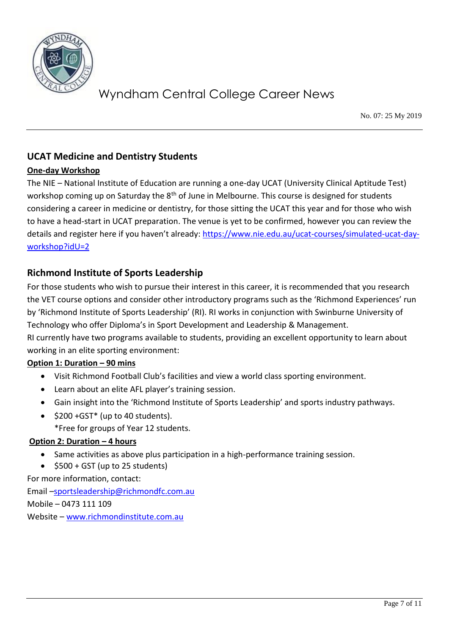

No. 07: 25 My 2019

## **UCAT Medicine and Dentistry Students**

### **One-day Workshop**

The NIE – National Institute of Education are running a one-day UCAT (University Clinical Aptitude Test) workshop coming up on Saturday the 8<sup>th</sup> of June in Melbourne. This course is designed for students considering a career in medicine or dentistry, for those sitting the UCAT this year and for those who wish to have a head-start in UCAT preparation. The venue is yet to be confirmed, however you can review the details and register here if you haven't already: [https://www.nie.edu.au/ucat-courses/simulated-ucat-day](https://www.nie.edu.au/ucat-courses/simulated-ucat-day-workshop?idU=2)[workshop?idU=2](https://www.nie.edu.au/ucat-courses/simulated-ucat-day-workshop?idU=2)

### **Richmond Institute of Sports Leadership**

For those students who wish to pursue their interest in this career, it is recommended that you research the VET course options and consider other introductory programs such as the 'Richmond Experiences' run by 'Richmond Institute of Sports Leadership' (RI). RI works in conjunction with Swinburne University of Technology who offer Diploma's in Sport Development and Leadership & Management. RI currently have two programs available to students, providing an excellent opportunity to learn about working in an elite sporting environment:

#### **Option 1: Duration – 90 mins**

- Visit Richmond Football Club's facilities and view a world class sporting environment.
- Learn about an elite AFL player's training session.
- Gain insight into the 'Richmond Institute of Sports Leadership' and sports industry pathways.
- $\bullet$  \$200 +GST\* (up to 40 students).
	- \*Free for groups of Year 12 students.

#### **Option 2: Duration – 4 hours**

- Same activities as above plus participation in a high-performance training session.
- $\bullet$  \$500 + GST (up to 25 students)

For more information, contact:

Email –[sportsleadership@richmondfc.com.au](mailto:sportsleadership@richmondfc.com.au) Mobile – 0473 111 109 Website – [www.richmondinstitute.com.au](http://www.richmondinstitute.com.au/)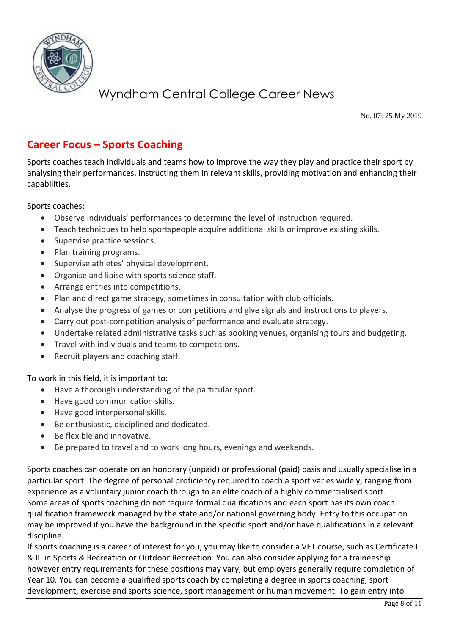

No. 07: 25 My 2019

## **Career Focus – Sports Coaching**

Sports coaches teach individuals and teams how to improve the way they play and practice their sport by analysing their performances, instructing them in relevant skills, providing motivation and enhancing their capabilities.

Sports coaches:

- Observe individuals' performances to determine the level of instruction required.
- Teach techniques to help sportspeople acquire additional skills or improve existing skills.
- Supervise practice sessions.
- Plan training programs.
- Supervise athletes' physical development.
- Organise and liaise with sports science staff.
- Arrange entries into competitions.
- Plan and direct game strategy, sometimes in consultation with club officials.
- Analyse the progress of games or competitions and give signals and instructions to players.
- Carry out post-competition analysis of performance and evaluate strategy.
- Undertake related administrative tasks such as booking venues, organising tours and budgeting.
- Travel with individuals and teams to competitions.
- Recruit players and coaching staff.

To work in this field, it is important to:

- Have a thorough understanding of the particular sport.
- Have good communication skills.
- Have good interpersonal skills.
- Be enthusiastic, disciplined and dedicated.
- Be flexible and innovative.
- Be prepared to travel and to work long hours, evenings and weekends.

Sports coaches can operate on an honorary (unpaid) or professional (paid) basis and usually specialise in a particular sport. The degree of personal proficiency required to coach a sport varies widely, ranging from experience as a voluntary junior coach through to an elite coach of a highly commercialised sport. Some areas of sports coaching do not require formal qualifications and each sport has its own coach qualification framework managed by the state and/or national governing body. Entry to this occupation may be improved if you have the background in the specific sport and/or have qualifications in a relevant discipline.

If sports coaching is a career of interest for you, you may like to consider a VET course, such as Certificate II & III in Sports & Recreation or Outdoor Recreation. You can also consider applying for a traineeship however entry requirements for these positions may vary, but employers generally require completion of Year 10. You can become a qualified sports coach by completing a degree in sports coaching, sport development, exercise and sports science, sport management or human movement. To gain entry into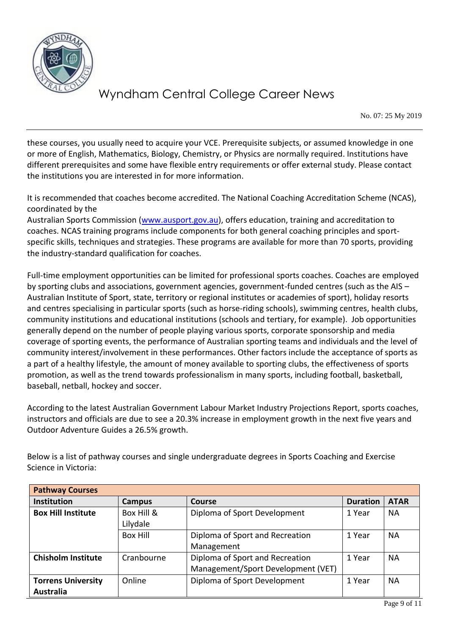

No. 07: 25 My 2019

these courses, you usually need to acquire your VCE. Prerequisite subjects, or assumed knowledge in one or more of English, Mathematics, Biology, Chemistry, or Physics are normally required. Institutions have different prerequisites and some have flexible entry requirements or offer external study. Please contact the institutions you are interested in for more information.

It is recommended that coaches become accredited. The National Coaching Accreditation Scheme (NCAS), coordinated by the

Australian Sports Commission [\(www.ausport.gov.au\)](http://www.ausport.gov.au/), offers education, training and accreditation to coaches. NCAS training programs include components for both general coaching principles and sportspecific skills, techniques and strategies. These programs are available for more than 70 sports, providing the industry-standard qualification for coaches.

Full-time employment opportunities can be limited for professional sports coaches. Coaches are employed by sporting clubs and associations, government agencies, government-funded centres (such as the AIS – Australian Institute of Sport, state, territory or regional institutes or academies of sport), holiday resorts and centres specialising in particular sports (such as horse-riding schools), swimming centres, health clubs, community institutions and educational institutions (schools and tertiary, for example). Job opportunities generally depend on the number of people playing various sports, corporate sponsorship and media coverage of sporting events, the performance of Australian sporting teams and individuals and the level of community interest/involvement in these performances. Other factors include the acceptance of sports as a part of a healthy lifestyle, the amount of money available to sporting clubs, the effectiveness of sports promotion, as well as the trend towards professionalism in many sports, including football, basketball, baseball, netball, hockey and soccer.

According to the latest Australian Government Labour Market Industry Projections Report, sports coaches, instructors and officials are due to see a 20.3% increase in employment growth in the next five years and Outdoor Adventure Guides a 26.5% growth.

Below is a list of pathway courses and single undergraduate degrees in Sports Coaching and Exercise Science in Victoria:

| <b>Pathway Courses</b>                 |                        |                                                                       |                 |             |
|----------------------------------------|------------------------|-----------------------------------------------------------------------|-----------------|-------------|
| <b>Institution</b>                     | Campus                 | <b>Course</b>                                                         | <b>Duration</b> | <b>ATAR</b> |
| <b>Box Hill Institute</b>              | Box Hill &<br>Lilydale | Diploma of Sport Development                                          | 1 Year          | <b>NA</b>   |
|                                        | Box Hill               | Diploma of Sport and Recreation<br>Management                         | 1 Year          | NА          |
| <b>Chisholm Institute</b>              | Cranbourne             | Diploma of Sport and Recreation<br>Management/Sport Development (VET) | 1 Year          | NА          |
| <b>Torrens University</b><br>Australia | Online                 | Diploma of Sport Development                                          | 1 Year          | <b>NA</b>   |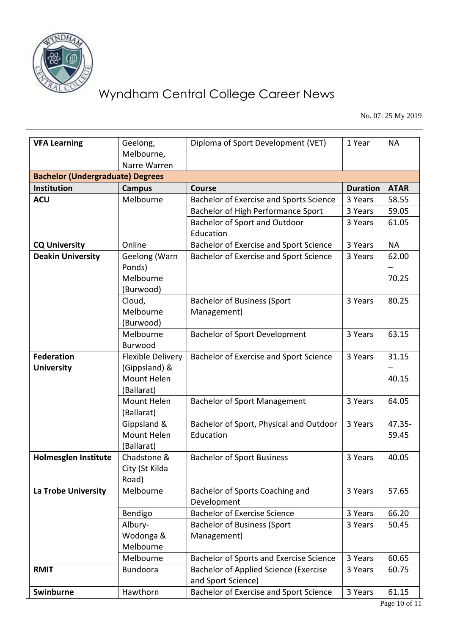

No. 07: 25 My 2019

| <b>VFA Learning</b>                     | Geelong,                     | Diploma of Sport Development (VET)             | 1 Year          | <b>NA</b>   |  |  |  |  |
|-----------------------------------------|------------------------------|------------------------------------------------|-----------------|-------------|--|--|--|--|
|                                         | Melbourne,                   |                                                |                 |             |  |  |  |  |
|                                         | Narre Warren                 |                                                |                 |             |  |  |  |  |
| <b>Bachelor (Undergraduate) Degrees</b> |                              |                                                |                 |             |  |  |  |  |
| <b>Institution</b>                      | <b>Campus</b>                | <b>Course</b>                                  | <b>Duration</b> | <b>ATAR</b> |  |  |  |  |
| <b>ACU</b>                              | Melbourne                    | <b>Bachelor of Exercise and Sports Science</b> | 3 Years         | 58.55       |  |  |  |  |
|                                         |                              | Bachelor of High Performance Sport             | 3 Years         | 59.05       |  |  |  |  |
|                                         |                              | Bachelor of Sport and Outdoor                  | 3 Years         | 61.05       |  |  |  |  |
|                                         |                              | Education                                      |                 |             |  |  |  |  |
| <b>CQ University</b>                    | Online                       | Bachelor of Exercise and Sport Science         | 3 Years         | <b>NA</b>   |  |  |  |  |
| <b>Deakin University</b>                | Geelong (Warn                | <b>Bachelor of Exercise and Sport Science</b>  | 3 Years         | 62.00       |  |  |  |  |
|                                         | Ponds)                       |                                                |                 |             |  |  |  |  |
|                                         | Melbourne                    |                                                |                 | 70.25       |  |  |  |  |
|                                         | (Burwood)                    |                                                |                 |             |  |  |  |  |
|                                         | Cloud,                       | <b>Bachelor of Business (Sport</b>             | 3 Years         | 80.25       |  |  |  |  |
|                                         | Melbourne                    | Management)                                    |                 |             |  |  |  |  |
|                                         | (Burwood)                    |                                                |                 |             |  |  |  |  |
|                                         | Melbourne                    | <b>Bachelor of Sport Development</b>           | 3 Years         | 63.15       |  |  |  |  |
|                                         | Burwood                      |                                                |                 |             |  |  |  |  |
| <b>Federation</b>                       | Flexible Delivery            | Bachelor of Exercise and Sport Science         | 3 Years         | 31.15       |  |  |  |  |
| <b>University</b>                       | (Gippsland) &<br>Mount Helen |                                                |                 |             |  |  |  |  |
|                                         |                              |                                                |                 | 40.15       |  |  |  |  |
|                                         | (Ballarat)<br>Mount Helen    |                                                |                 | 64.05       |  |  |  |  |
|                                         | (Ballarat)                   | <b>Bachelor of Sport Management</b>            | 3 Years         |             |  |  |  |  |
|                                         | Gippsland &                  | Bachelor of Sport, Physical and Outdoor        | 3 Years         | 47.35-      |  |  |  |  |
|                                         | Mount Helen                  | Education                                      |                 | 59.45       |  |  |  |  |
|                                         | (Ballarat)                   |                                                |                 |             |  |  |  |  |
| Holmesglen Institute                    | Chadstone &                  | <b>Bachelor of Sport Business</b>              | 3 Years         | 40.05       |  |  |  |  |
|                                         | City (St Kilda               |                                                |                 |             |  |  |  |  |
|                                         | Road)                        |                                                |                 |             |  |  |  |  |
| La Trobe University                     | Melbourne                    | Bachelor of Sports Coaching and                | 3 Years         | 57.65       |  |  |  |  |
|                                         |                              | Development                                    |                 |             |  |  |  |  |
|                                         | Bendigo                      | <b>Bachelor of Exercise Science</b>            | 3 Years         | 66.20       |  |  |  |  |
|                                         | Albury-                      | <b>Bachelor of Business (Sport</b>             | 3 Years         | 50.45       |  |  |  |  |
|                                         | Wodonga &                    | Management)                                    |                 |             |  |  |  |  |
|                                         | Melbourne                    |                                                |                 |             |  |  |  |  |
|                                         | Melbourne                    | Bachelor of Sports and Exercise Science        | 3 Years         | 60.65       |  |  |  |  |
| <b>RMIT</b>                             | <b>Bundoora</b>              | <b>Bachelor of Applied Science (Exercise</b>   | 3 Years         | 60.75       |  |  |  |  |
|                                         |                              | and Sport Science)                             |                 |             |  |  |  |  |
| Swinburne                               | Hawthorn                     | Bachelor of Exercise and Sport Science         | 3 Years         | 61.15       |  |  |  |  |